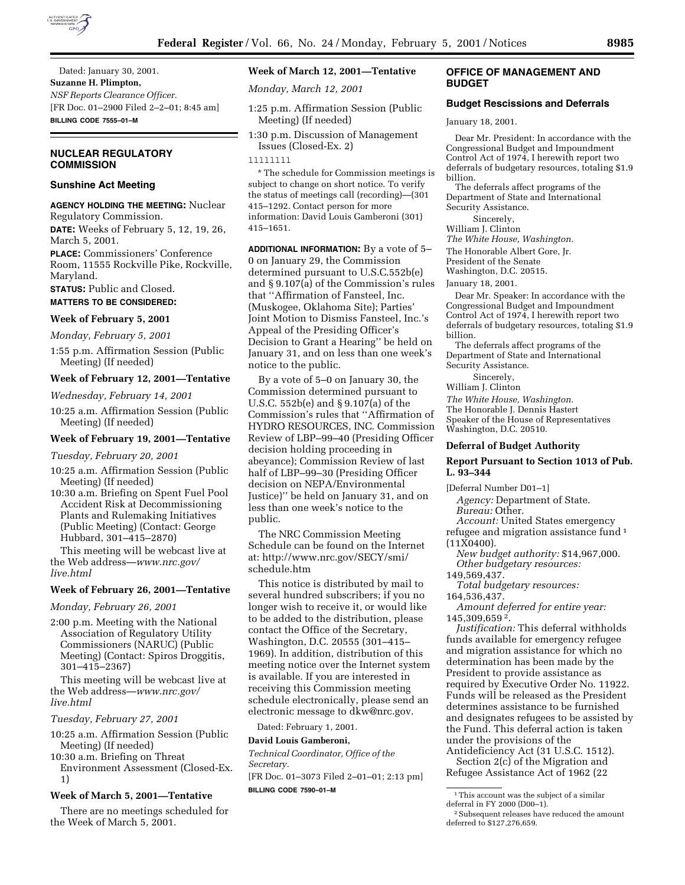

Dated: January 30, 2001. **Suzanne H. Plimpton,** *NSF Reports Clearance Officer.* [FR Doc. 01–2900 Filed 2–2–01; 8:45 am] **BILLING CODE 7555–01–M**

# **NUCLEAR REGULATORY COMMISSION**

## **Sunshine Act Meeting**

## **AGENCY HOLDING THE MEETING:** Nuclear Regulatory Commission.

**DATE:** Weeks of February 5, 12, 19, 26, March 5, 2001.

**PLACE:** Commissioners' Conference Room, 11555 Rockville Pike, Rockville, Maryland.

**STATUS:** Public and Closed.

# **MATTERS TO BE CONSIDERED:**

## **Week of February 5, 2001**

*Monday, February 5, 2001*

1:55 p.m. Affirmation Session (Public Meeting) (If needed)

## **Week of February 12, 2001—Tentative**

*Wednesday, February 14, 2001*

10:25 a.m. Affirmation Session (Public Meeting) (If needed)

### **Week of February 19, 2001—Tentative**

*Tuesday, February 20, 2001*

- 10:25 a.m. Affirmation Session (Public Meeting) (If needed)
- 10:30 a.m. Briefing on Spent Fuel Pool Accident Risk at Decommissioning Plants and Rulemaking Initiatives (Public Meeting) (Contact: George Hubbard, 301–415–2870)

This meeting will be webcast live at the Web address—*www.nrc.gov/ live.html*

### **Week of February 26, 2001—Tentative**

*Monday, February 26, 2001*

2:00 p.m. Meeting with the National Association of Regulatory Utility Commissioners (NARUC) (Public Meeting) (Contact: Spiros Droggitis, 301–415–2367)

This meeting will be webcast live at the Web address—*www.nrc.gov/ live.html*

*Tuesday, February 27, 2001*

- 10:25 a.m. Affirmation Session (Public Meeting) (If needed)
- 10:30 a.m. Briefing on Threat Environment Assessment (Closed-Ex. 1)

#### **Week of March 5, 2001—Tentative**

There are no meetings scheduled for the Week of March 5, 2001.

# **Week of March 12, 2001—Tentative**

*Monday, March 12, 2001*

- 1:25 p.m. Affirmation Session (Public Meeting) (If needed)
- 1:30 p.m. Discussion of Management Issues (Closed-Ex. 2)

\* The schedule for Commission meetings is subject to change on short notice. To verify the status of meetings call (recording)—(301 415–1292. Contact person for more information: David Louis Gamberoni (301) 415–1651.

**ADDITIONAL INFORMATION:** By a vote of 5– 0 on January 29, the Commission determined pursuant to U.S.C.552b(e) and § 9.107(a) of the Commission's rules that ''Affirmation of Fansteel, Inc. (Muskogee, Oklahoma Site); Parties' Joint Motion to Dismiss Fansteel, Inc.'s Appeal of the Presiding Officer's Decision to Grant a Hearing'' be held on January 31, and on less than one week's notice to the public.

By a vote of 5–0 on January 30, the Commission determined pursuant to U.S.C. 552b(e) and § 9.107(a) of the Commission's rules that ''Affirmation of HYDRO RESOURCES, INC. Commission Review of LBP–99–40 (Presiding Officer decision holding proceeding in abeyance); Commission Review of last half of LBP–99–30 (Presiding Officer decision on NEPA/Environmental Justice)'' be held on January 31, and on less than one week's notice to the public.

The NRC Commission Meeting Schedule can be found on the Internet at: http://www.nrc.gov/SECY/smi/ schedule.htm

This notice is distributed by mail to several hundred subscribers; if you no longer wish to receive it, or would like to be added to the distribution, please contact the Office of the Secretary, Washington, D.C. 20555 (301–415– 1969). In addition, distribution of this meeting notice over the Internet system is available. If you are interested in receiving this Commission meeting schedule electronically, please send an electronic message to dkw@nrc.gov.

Dated: February 1, 2001.

#### **David Louis Gamberoni,**

*Technical Coordinator, Office of the Secretary.*

[FR Doc. 01–3073 Filed 2–01–01; 2:13 pm] **BILLING CODE 7590–01–M**

# **OFFICE OF MANAGEMENT AND BUDGET**

# **Budget Rescissions and Deferrals**

January 18, 2001.

Dear Mr. President: In accordance with the Congressional Budget and Impoundment Control Act of 1974, I herewith report two deferrals of budgetary resources, totaling \$1.9 billion. The deferrals affect programs of the

Department of State and International Security Assistance.

Sincerely,

William J. Clinton *The White House, Washington.*

The Honorable Albert Gore, Jr.

President of the Senate

Washington, D.C. 20515.

January 18, 2001.

Dear Mr. Speaker: In accordance with the Congressional Budget and Impoundment Control Act of 1974, I herewith report two deferrals of budgetary resources, totaling \$1.9 billion.

The deferrals affect programs of the Department of State and International Security Assistance.

Sincerely,

William J. Clinton

*The White House, Washington.* The Honorable J. Dennis Hastert

Speaker of the House of Representatives Washington, D.C. 20510.

### **Deferral of Budget Authority**

## **Report Pursuant to Section 1013 of Pub. L. 93–344**

[Deferral Number D01–1]

*Agency:* Department of State. *Bureau:* Other.

*Account:* United States emergency refugee and migration assistance fund 1

(11X0400).

*New budget authority:* \$14,967,000. *Other budgetary resources:*

149,569,437.

*Total budgetary resources:* 164,536,437.

*Amount deferred for entire year:* 145,309,659 2.

*Justification:* This deferral withholds funds available for emergency refugee and migration assistance for which no determination has been made by the President to provide assistance as required by Executive Order No. 11922. Funds will be released as the President determines assistance to be furnished and designates refugees to be assisted by the Fund. This deferral action is taken under the provisions of the

Antideficiency Act (31 U.S.C. 1512). Section 2(c) of the Migration and Refugee Assistance Act of 1962 (22

llllllll

<sup>1</sup>This account was the subject of a similar

deferral in FY 2000 (D00–1).

<sup>2</sup>Subsequent releases have reduced the amount deferred to \$127,276,659.